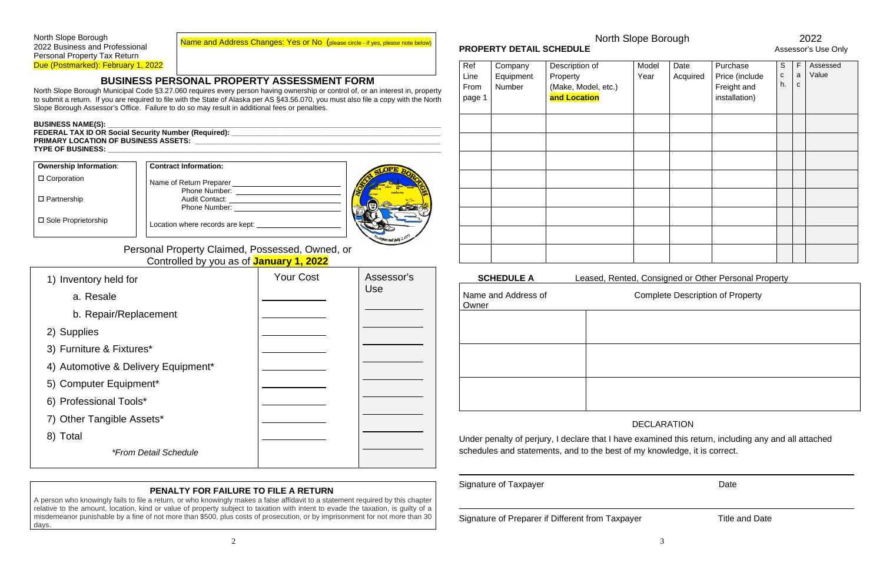Name and Address Changes: Yes or No (please circle - if yes, please note below)

### **BUSINESS PERSONAL PROPERTY ASSESSMENT FORM**

North Slope Borough Municipal Code §3.27.060 requires every person having ownership or control of, or an interest in, property to submit a return. If you are required to file with the State of Alaska per AS §43.56.070, you must also file a copy with the North Slope Borough Assessor's Office. Failure to do so may result in additional fees or penalties.

#### **BUSINESS NAME(S):**

**FEDERAL TAX ID OR Social Security Number (Required): \_\_\_\_\_\_\_\_\_\_\_\_\_\_\_\_\_\_\_\_\_\_\_\_\_\_\_\_\_\_\_\_\_\_\_\_\_\_\_\_\_\_\_\_\_\_\_\_\_\_\_\_ PRIMARY LOCATION OF BUSINESS ASSETS: TYPE OF BUSINESS: \_\_\_\_\_\_\_\_\_\_\_\_\_\_\_\_\_\_\_\_\_\_\_\_\_\_\_\_\_\_\_\_\_\_\_\_\_\_\_\_\_\_\_\_\_\_\_\_\_\_\_\_\_\_\_\_\_\_\_\_\_\_\_\_\_\_\_\_\_\_\_\_\_\_\_\_\_\_\_\_\_\_\_**

### □ Corporation

□ Partnership

**Ownership Information**:

#### **Contract Information:** Name of Return Preparer Phone Number: Audit Contact: Phone Number:

Location where records are kept:



□ Sole Proprietorship

Personal Property Claimed, Possessed, Owned, or Controlled by you as of **January 1, 2022**

| 1) Inventory held for               | <b>Your Cost</b> | Assessor's<br>Use |
|-------------------------------------|------------------|-------------------|
| a. Resale                           |                  |                   |
| b. Repair/Replacement               |                  |                   |
| 2) Supplies                         |                  |                   |
| 3) Furniture & Fixtures*            |                  |                   |
| 4) Automotive & Delivery Equipment* |                  |                   |
| 5) Computer Equipment*              |                  |                   |
| 6) Professional Tools*              |                  |                   |
| 7) Other Tangible Assets*           |                  |                   |
| 8) Total                            |                  |                   |
| <i>*From Detail Schedule</i>        |                  |                   |

## **PROPERTY DETAIL SCHEDULE CONSUMING A PROPERTY DETAIL SCHEDULE**

#### **PENALTY FOR FAILURE TO FILE A RETURN**

A person who knowingly fails to file a return, or who knowingly makes a false affidavit to a statement required by this chapter relative to the amount, location, kind or value of property subject to taxation with intent to evade the taxation, is guilty of a misdemeanor punishable by a fine of not more than \$500, plus costs of prosecution, or by imprisonment for not more than 30 days.

Signature of Taxpayer **Date** 

Signature of Preparer if Different from Taxpayer Title and Date

# North Slope Borough 2022

#### **SCHEDULE A** Consigned or Other Personal Property

### mplete Description of Property

| Ref<br>Line<br>From<br>page 1 | Company<br>Equipment<br>Number | Description of<br>Property<br>(Make, Model, etc.)<br>and Location | Model<br>Year | Date<br>Acquired | Purchase<br>Price (include<br>Freight and<br>installation) | $\mathsf S$<br>$\mathbf C$<br>h. | $\mathsf{F}$<br>a<br>C | Assessed<br>Value |
|-------------------------------|--------------------------------|-------------------------------------------------------------------|---------------|------------------|------------------------------------------------------------|----------------------------------|------------------------|-------------------|
|                               |                                |                                                                   |               |                  |                                                            |                                  |                        |                   |
|                               |                                |                                                                   |               |                  |                                                            |                                  |                        |                   |
|                               |                                |                                                                   |               |                  |                                                            |                                  |                        |                   |
|                               |                                |                                                                   |               |                  |                                                            |                                  |                        |                   |
|                               |                                |                                                                   |               |                  |                                                            |                                  |                        |                   |
|                               |                                |                                                                   |               |                  |                                                            |                                  |                        |                   |
|                               |                                |                                                                   |               |                  |                                                            |                                  |                        |                   |
|                               |                                |                                                                   |               |                  |                                                            |                                  |                        |                   |

| <b>SCHEDULE A</b>            | Leased, Rented, Co |
|------------------------------|--------------------|
| Name and Address of<br>Owner | C∩n                |
|                              |                    |
|                              |                    |
|                              |                    |
|                              |                    |
|                              |                    |

#### DECLARATION

Under penalty of perjury, I declare that I have examined this return, including any and all attached schedules and statements, and to the best of my knowledge, it is correct.